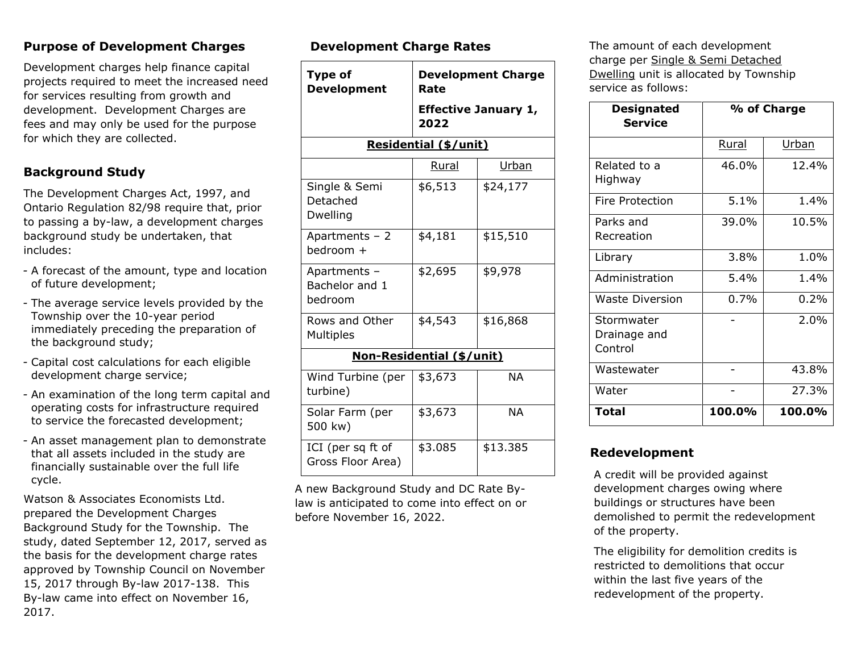#### **Purpose of Development Charges**

Development charges help finance capital projects required to meet the increased need for services resulting from growth and development. Development Charges are fees and may only be used for the purpose for which they are collected.

### **Background Study**

The Development Charges Act, 1997, and Ontario Regulation 82/98 require that, prior to passing a by-law, a development charges background study be undertaken, that includes:

- *-* A forecast of the amount, type and location of future development;
- *-* The average service levels provided by the Township over the 10-year period immediately preceding the preparation of the background study;
- *-* Capital cost calculations for each eligible development charge service;
- *-* An examination of the long term capital and operating costs for infrastructure required to service the forecasted development;
- *-* An asset management plan to demonstrate that all assets included in the study are financially sustainable over the full life cycle.

Watson & Associates Economists Ltd. prepared the Development Charges Background Study for the Township. The study, dated September 12, 2017, served as the basis for the development charge rates approved by Township Council on November 15, 2017 through By-law 2017-138. This By-law came into effect on November 16, 2017.

#### **Development Charge Rates**

| <b>Type of</b><br><b>Development</b>         | <b>Development Charge</b><br>Rate   |           |  |
|----------------------------------------------|-------------------------------------|-----------|--|
|                                              | <b>Effective January 1,</b><br>2022 |           |  |
| <b>Residential (\$/unit)</b>                 |                                     |           |  |
|                                              | Rural                               | Urban     |  |
| Single & Semi<br>Detached<br><b>Dwelling</b> | \$6,513                             | \$24,177  |  |
| Apartments - 2<br>bedroom +                  | \$4,181                             | \$15,510  |  |
| Apartments -<br>Bachelor and 1<br>bedroom    | \$2,695                             | \$9,978   |  |
| Rows and Other<br>Multiples                  | \$4,543                             | \$16,868  |  |
| Non-Residential (\$/unit)                    |                                     |           |  |
| Wind Turbine (per<br>turbine)                | \$3,673                             | <b>NA</b> |  |
| Solar Farm (per<br>500 kw)                   | \$3,673                             | <b>NA</b> |  |
| ICI (per sq ft of<br>Gross Floor Area)       | \$3.085                             | \$13.385  |  |

A new Background Study and DC Rate Bylaw is anticipated to come into effect on or before November 16, 2022.

The amount of each development charge per Single & Semi Detached Dwelling unit is allocated by Township service as follows:

| <b>Designated</b>                     | % of Charge |        |
|---------------------------------------|-------------|--------|
| <b>Service</b>                        |             |        |
|                                       | Rural       | Urban  |
| Related to a<br>Highway               | 46.0%       | 12.4%  |
| Fire Protection                       | 5.1%        | 1.4%   |
| Parks and<br>Recreation               | 39.0%       | 10.5%  |
| Library                               | 3.8%        | 1.0%   |
| Administration                        | 5.4%        | 1.4%   |
| <b>Waste Diversion</b>                | 0.7%        | 0.2%   |
| Stormwater<br>Drainage and<br>Control |             | 2.0%   |
| Wastewater                            |             | 43.8%  |
| Water                                 |             | 27.3%  |
| Total                                 | 100.0%      | 100.0% |

#### **Redevelopment**

A credit will be provided against development charges owing where buildings or structures have been demolished to permit the redevelopment of the property.

The eligibility for demolition credits is restricted to demolitions that occur within the last five years of the redevelopment of the property.